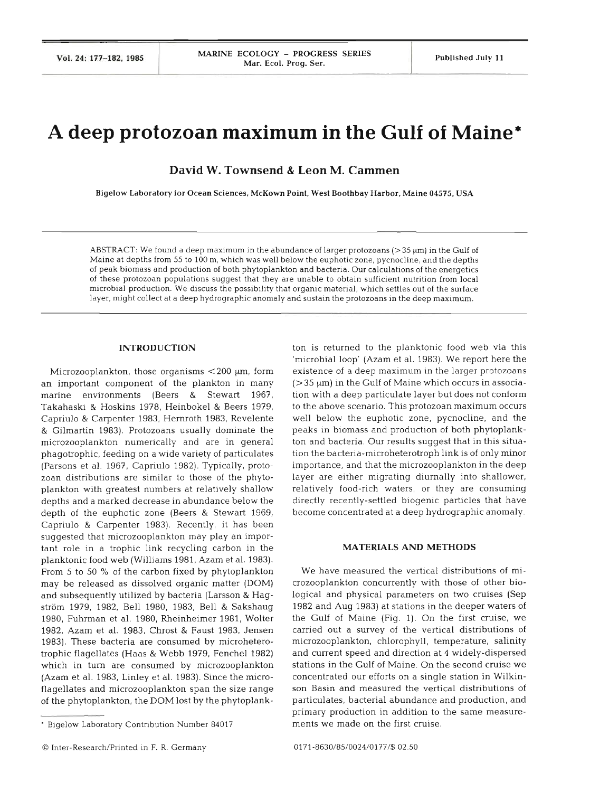# **A deep protozoan maximum in the Gulf of Maine\***

**David W. Townsend** & **Leon M. Cammen** 

**Bigelow Laboratory for Ocean Sciences, McKown Point, West Boothbay Harbor, Maine 04575, USA** 

ABSTRACT: We found a deep maximum in the abundance of larger protozoans ( $>$ 35  $\mu$ m) in the Gulf of Maine at depths from 55 to 100 m, which was well below the euphotic zone, pycnocline, and the depths of peak biomass and production of both phytoplankton and bacteria. Our calculations of the energetics of these protozoan populations suggest that they are unable to obtain sufficient nutrition from local microbial production. We discuss the possibility that organic material, which settles out of the surface layer, might collect at a deep hydrographic anomaly and sustaln the protozoans in the deep maximum.

#### **INTRODUCTI**

Microzooplankton, those organisms  $<$  200  $\mu$ m, form an important component of the plankton in many marine environments (Beers & Stewart 1967, Takahaski & Hoskins 1978, Heinbokel & Beers 1979, Capriulo & Carpenter 1983, Hemroth 1983, Revelente & Gilmartin 1983). Protozoans usually dominate the microzooplankton numerically and are in general phagotrophic, feeding on a wide variety of particulates (Parsons et al. 1967, Capriulo 1982). Typically, protozoan distributions are similar to those of the phytoplankton with greatest numbers at relatively shallow depths and a marked decrease in abundance below the depth of the euphotic zone (Beers & Stewart 1969, Capriulo & Carpenter 1983). Recently, it has been suggested that microzooplankton may play an important role in a trophic link recycling carbon in the planktonic food web (Williams 1981, Azam et al. 1983). From 5 to 50 % of the carbon fixed by phytoplankton may be released as dissolved organic matter (DOM) and subsequently utilized by bacteria (Larsson & Hagström 1979, 1982, Bell 1980, 1983, Bell & Sakshaug 1980, Fuhrman et al. 1980, Rheinheimer 1981, Wolter 1982, Azam et al. 1983, Chrost & Faust 1983, Jensen 1983). These bacteria are consumed by microheterotrophic flagellates (Haas & Webb 1979, Fenchel 1982) which in turn are consumed by microzooplankton (Azam et al. 1983, Linley et al. 1983). Since the microflagellates and microzooplankton span the size range of the phytoplankton, the DOM lost by the phytoplank-

-- P

ton is returned to the planktonic food web via this 'microbial loop' (Azam et al. 1983). We report here the existence of a deep maximum in the larger protozoans  $(> 35 \mu m)$  in the Gulf of Maine which occurs in association with a deep particulate layer but does not conform to the above scenario. This protozoan maximum occurs well below the euphotic zone, pycnocline, and the peaks in biomass and production of both phytoplankton and bacteria. Our results suggest that in this situation the bacteria-microheterotroph link is of only minor importance, and that the microzooplankton in the deep layer are either migrating diurnally into shallower, relatively food-rich waters, or they are consuming directly recently-settled biogenic particles that have become concentrated at a deep hydrographic anomaly.

#### **MATERIALS AND METHO**

We have measured the vertical distributions of microzooplankton concurrently with those of other biological and physical parameters on two cruises (Sep 1982 and Aug 1983) at stations in the deeper waters of the Gulf of Maine (Fig. 1). On the first cruise, we carried out a survey of the vertical distributions of microzooplankton, chlorophyll, temperature, salinity and current speed and direction at 4 widely-dispersed stations in the Gulf of Maine. On the second cruise concentrated our efforts on a single station in Wilkinson Basin and measured the vertical distributions particulates, bacterial abundance and production, and primary production in addition to the same measurements we made on the first cruise.

Bigelow Laboratory Contribution Number 84017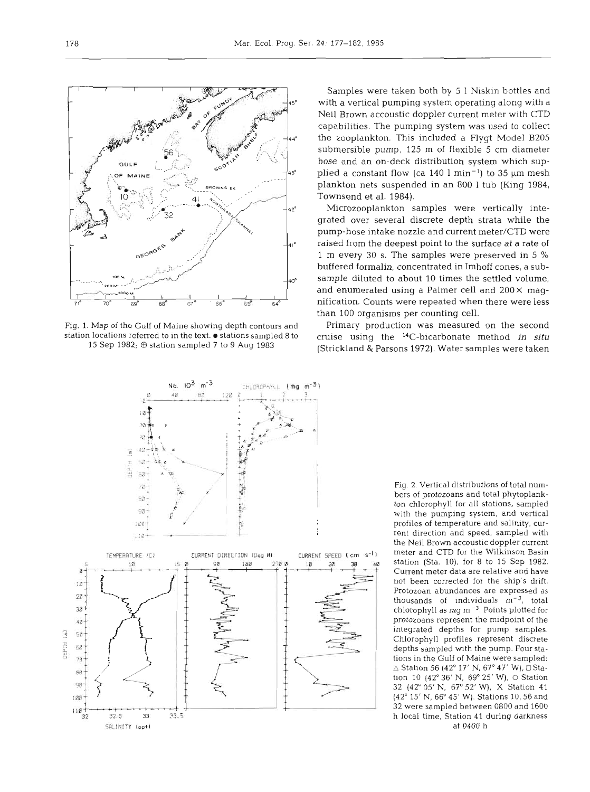

Samples were taken both by 5 1 Niskin bottles and **<sup>450</sup>**with a vertical pumping system operating along with a Neil Brown accoustic doppler current meter with CTD capabilities. The pumping system was used to colIect the zooplankton. This included a Flygt Model B205 submersible pump, 125 m of flexible 5 cm diameter hose and an on-deck distribution system which supplied a constant flow (ca  $140 \text{ l min}^{-1}$ ) to 35  $\mu$ m mesh plankton nets suspended in an 800 1 tub (King 1984, Townsend et al. 1984).

Microzooplankton samples were vertically integrated over several discrete depth strata while the pump-hose intake nozzle and current meter/CTD were raised from the deepest point to the surface at a rate of 1 m every 30 S. The samples were preserved in 5 % buffered formalin, concentrated in Imhoff cones, a sub sample diluted to about 10 times the settled volume, and enumerated using a Palmer cell and  $200 \times$  magnification. Counts were repeated when there were less than 100 organisms per counting cell.

15 Sep 1982;  $\oplus$  station sampled 7 to 9 Aug 1983 (Strickland & Parsons 1972). Water samples were taken



Fig. 2. Vertical distributions of total numbers of protozoans and total phytoplankton chlorophyll for all stations, sampled with the pumping system, and vertical profiles of temperature and salinity, current direction and speed, sampled with the Neil Brown accoustic doppler current meter and CTD for the Wilkinson Basin station (Sta. 10), for 8 to 15 Sep 1982. Current meter data are relative and have not been corrected for the ship's drift. Protozoan abundances are expressed as thousands of individuals **m-3,** total chlorophyll as mg  $m^{-3}$ . Points plotted for protozoans represent the midpoint of the integrated depths for pump samples. Chlorophyll profiles represent discrete depths sampled with the pump. Four stations in the Gulf of Maine were sampled:  $\triangle$  Station 56 (42° 17' N, 67° 47' W),  $\Box$  Station 10 (42° 36' N, 69° 25' W), O Station 32 (42" 05' N, 67' 52' W), X Station 41 (42' 15' N, 66" 45' W). Stations 10,56 and 32 were sampled between 0800 and 1600 h local time, Station 41 during darkness at 0400 h

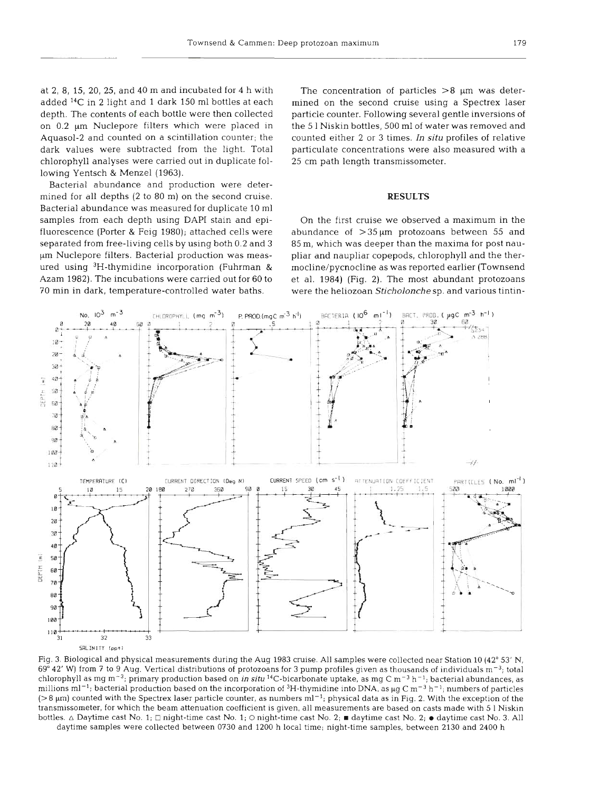added **14C** in 2 light and 1 dark 150 m1 bottles at each mined on the second cruise using a Spectrex laser depth. The contents of each bottle were then collected particle counter. Following several gentle inversions of on 0.2  $\mu$ m Nuclepore filters which were placed in the 51 Niskin bottles, 500 ml of water was removed and Aquasol-2 and counted on a scintillation counter; the counted either 2 or 3 times. In **situ** profiles of relative dark values were subtracted from the light. Total particulate concentrations were also measured with a chlorophyll analyses were carried out in duplicate fol- 25 cm path length transmissometer. lowing Yentsch & Menzel (1963).

Bacterial abundance and production were determined for all depths (2 to 80 m) on the second cruise. Bacterial abundance was measured for duplicate 10 m1 samples from each depth using DAPI stain and epi- On the first cruise we observed a maximum in the

at 2, 8, 15, 20, 25, and 40 m and incubated for 4 h with The concentration of particles  $>8$  µm was deter-

## **RESULTS**

fluorescence (Porter & Feig 1980); attached cells were abundance of  $>35 \mu m$  protozoans between 55 and separated from free-living cells by using both 0.2 and 3 85 m, which was deeper than the maxima for post naupm Nuclepore filters. Bacterial production was meas- pliar and naupliar copepods, chlorophyll and the therured using 3H-thymidine incorporation (Fuhrman & mocline/pycnocline as was reported earlier (Townsend Azam 1982). The incubations were carried out for 60 to et al. 1984) (Fig. 2). The most abundant protozoans 70 min in dark, temperature-controlled water baths. were the heliozoan Sticholonche sp. and various tintin-



Fig. 3. Biological and physical measurements during the Aug 1983 cruise. All samples were collected near Station 10 (42° 53' N, 69" 42' W) from **7** to 9 Aug. Vertical distributions of protozoans for 3 pump profiles given as thousands of individuals m-3; total chlorophyll as mg m-3; primary production based on in **situ** I4C-bicarbonate uptake, as mg C m-3 h-'; bacterial abundances, as millions ml<sup>-1</sup>; bacterial production based on the incorporation of <sup>3</sup>H-thymidine into DNA, as  $\mu$ g C m<sup>-3</sup> h<sup>-1</sup>; numbers of particles  $(> 8 \mu m)$  counted with the Spectrex laser particle counter, as numbers  $ml^{-1}$ ; physical data as in Fig. 2. With the exception of the transmissometer, for which the beam attenuation coefficient is given, all measurements are based on casts made with 5 1 Niskin bottles.  $\triangle$  Daytime cast No. 1;  $\Box$  night-time cast No. 1;  $\bigcirc$  night-time cast No. 2;  $\blacksquare$  daytime cast No. 2;  $\bullet$  daytime cast No. 3. All daytime samples were collected between 0730 and 1200 h local time; night-time samples, between 2130 and 2400 h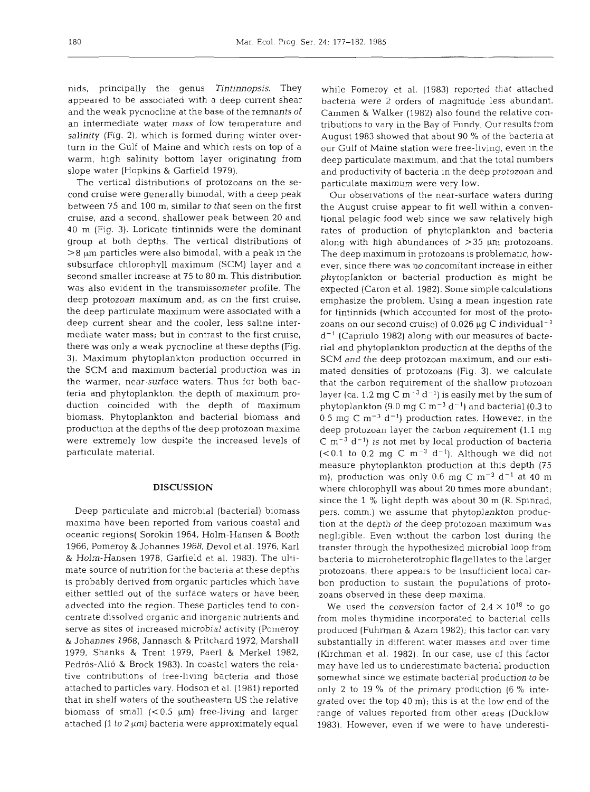nids, principally the genus **Tintinnopsis.** They appeared to be associated with a deep current shear and the weak pycnocline at the base of the remnants of an intermediate water mass of low temperature and salinity (Fig. 2), which is formed during winter overturn in the Gulf of Maine and which rests on top of a warm, high salinity bottom layer originating from slope water (Hopkins & Garfield 1979).

The vertical distributions of protozoans on the second cruise were generally bimodal, with a deep peak between 75 and 100 m, similar to that seen on the first cruise, and a second, shallower peak between 20 and 40 m (Fig. 3). Loricate tintinnids were the dominant group at both depths. The vertical distributions of  $>8 \mu m$  particles were also bimodal, with a peak in the subsurface chlorophyll maximum (SCM) layer and a second smaller increase at 75 to 80 m. This distribution was also evident in the transmissometer profile. The deep protozoan maximum and, as on the first cruise, the deep particulate maximum were associated with a deep current shear and the cooler, less saline intermediate water mass; but in contrast to the first cruise, there was only a weak pycnocline at these depths (Fig. 3). Maximum phytoplankton production occurred in the SCM and maximum bacterial production was in the warmer, near-surface waters. Thus for both bacteria and phytoplankton, the depth of maximum production coincided with the depth of maximum biomass. Phytoplankton and bacterial biomass and production at the depths of the deep protozoan maxima were extremely low despite the increased levels of particulate material.

## **DISCUSSION**

Deep particulate and microbial (bacterial) biomass maxima have been reported from various coastal and oceanic regions( Sorokin 1964, Holm-Hansen & Booth 1966, Pomeroy & Johannes 1968, Devol et al. 1976, Karl & Holm-Hansen 1978, Garfield et al. 1983). The ultimate source of nutrition for the bacteria at these depths is probably derived from organic particles which have either settled out of the surface waters or have been advected into the region. These particles tend to concentrate dissolved organic and inorganic nutrients and serve as sites of increased microbial activity (Pomeroy & Johannes 1968, Jannasch & Pritchard 1972, Marshal1 1979, Shanks & Trent 1979, Paerl & Merkel 1982, Pedrós-Alió & Brock 1983). In coastal waters the relative contributions of free-living bacteria and those attached to particles vary. Hodson et al. (1981) reported that in shelf waters of the southeastern US the relative biomass of small  $(< 0.5 \mu m)$  free-living and larger attached (1 to 2  $\mu$ m) bacteria were approximately equal

while Pomeroy et al. (1983) reported that attached bacteria were 2 orders of magnitude less abundant. Cammen & Walker (1982) also found the relative contributions to vary in the Bay of Fundy. Our results from August 1983 showed that about 90 % of the bacteria at our Gulf of Maine station were free-living, even in the deep particulate maximum, and that the total numbers and productivity of bacteria in the deep protozoan and particulate maximum were very low.

Our observations of the near-surface waters during the August cruise appear to fit well within a conventional pelagic food web since we saw relatively high rates of production of phytoplankton and bacteria along with high abundances of  $>35$  µm protozoans. The deep maximum in protozoans is problematic, however, since there was no concomitant increase in either phytoplankton or bacterial production as might be expected (Caron et al. 1982). Some simple calculations emphasize the problem. Using a mean ingestion rate for tintinnids (which accounted for most of the protozoans on our second cruise) of  $0.026 \mu g$  C individual<sup>-1</sup>  $d^{-1}$  (Capriulo 1982) along with our measures of bacterial and phytoplankton production at the depths of the SCM and the deep protozoan maximum, and our estimated densities of protozoans (Fig. 3), we calculate that the carbon requirement of the shallow protozoan layer (ca. 1.2 mg C  $m^{-3} d^{-1}$ ) is easily met by the sum of phytoplankton (9.0 mg C  $\rm m^{-3}$  d<sup>-1</sup>) and bacterial (0.3 to 0.5 mg C  $\rm m^{-3}$  d<sup>-1</sup>) production rates. However, in the deep protozoan layer the carbon requirement (1.1 mg  $\rm C~m^{-3}$  d<sup>-1</sup>) is not met by local production of bacteria (<0.1 to 0.2 mg C  $m^{-3}$  d<sup>-1</sup>). Although we did not measure phytoplankton production at this depth (75 m), production was only 0.6 mg C  $m^{-3}$  d<sup>-1</sup> at 40 m where chlorophyll was about 20 times more abundant; since the 1 % light depth was about 30 m (R. Spinrad, pers. comm.) we assume that phytoplankton production at the depth of the deep protozoan maximum was negligible. Even without the carbon lost during the transfer through the hypothesized microbial loop from bacteria to microheterotrophic flagellates to the larger protozoans, there appears to be insufficient local carbon production to sustain the populations of protozoans observed in these deep maxima.

We used the conversion factor of  $2.4 \times 10^{18}$  to go from moIes thymidine incorporated to bacterial cells produced (Fuhrman & Azam 1982); this factor can vary substantially in different water masses and over time (firchman et al. 1982). In our case, use of this factor may have led us to underestimate bacterial production somewhat since we estimate bacterial production to be only 2 to 19 % of the primary production (6 % integrated over the top 40 m); this is at the low end of the range of values reported from other areas (Ducklow 1983). However, even if we were to have underesti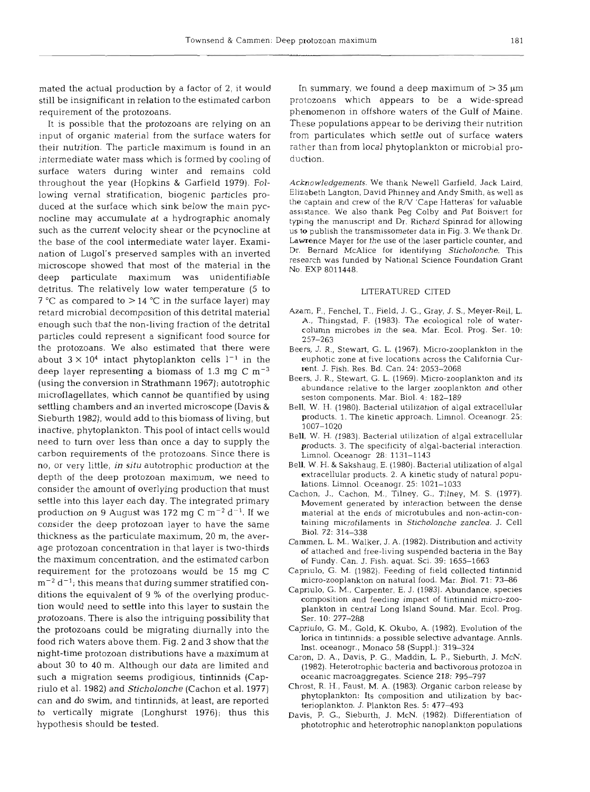mated the actual production by a factor of 2, it would still be insignificant in relation to the estimated carbon requirement of the protozoans.

It is possible that the protozoans are relying on an input of organic material from the surface waters for their nutrition. The particle maximum is found in an intermediate water mass which is formed by cooling of surface waters during winter and remains cold throughout the year (Hopkins & Garfield 1979). Following vernal stratification, biogenic particles produced at the surface which sink below the main pycnocline may accumulate at a hydrographic anomaly such as the current velocity shear or the pcynocline at the base of the cool intermediate water layer. Examination of Lugol's preserved samples with an inverted microscope showed that most of the material in the deep particulate maximum was unidentifiable detritus. The relatively low water temperature (5 to  $7^{\circ}$ C as compared to  $> 14^{\circ}$ C in the surface layer) may retard microbial decomposition of this detrital material enough such that the non-living fraction of the detrital particles could represent a significant food source for the protozoans. We also estimated that there were about  $3 \times 10^4$  intact phytoplankton cells  $1^{-1}$  in the deep layer representing a biomass of 1.3 mg  $C m<sup>-3</sup>$ (using the conversion in Strathmann 1967); autotrophic microflagellates, which cannot be quantified by using settling chambers and an inverted microscope (Davis & Sieburth 1982), would add to this biomass of living, but inactive, phytoplankton. This pool of intact cells would need to turn over less than once a day to supply the carbon requirements of the protozoans. Since there is no, or very little, *in* **situ** autotrophic production at the depth of the deep protozoan maximum, we need to consider the amount of overlying production that must settle into this layer each day. The integrated primary production on 9 August was 172 mg C  $m^{-2}$  d<sup>-1</sup>. If we consider the deep protozoan layer to have the same thickness as the particulate maximum, 20 m, the average protozoan concentration in that layer is two-thirds the maximum concentration, and the estimated carbon requirement for the protozoans would be 15 mg C  $m^{-2} d^{-1}$ ; this means that during summer stratified conditions the equivalent of 9 % of the overlying production would need to settle into this layer to sustain the protozoans. There is also the intriguing possibility that the protozoans could be migrating diurnally into the food rich waters above them. Fig. 2 and 3 show that the night-time protozoan distributions have a maximum at about 30 to 40 m. Although our data are limited and such a migration seems prodigious, tintinnids (Capriulo et al. 1982) and *Sticholonche* (Cachon et al. 1977) can and do swim, and tintinnids, at least, are reported to vertically migrate (Longhurst 1976); thus this hypothesis should be tested.

In summary, we found a deep maximum of  $>35 \mu m$ protozoans which appears to be a wide-spread phenomenon in offshore waters of the Gulf of Maine. These populations appear to be deriving their nutrition from particulates which settle out of surface waters rather than from local phytoplankton or microbial production.

Acknowledgements. We thank Newel1 Garfield, Jack Laird, Elizabeth Langton, David Phinney and Andy Smith, as well as the captain and crew of the R/V 'Cape Hatteras' for valuable assistance. We also thank Peg Colby and Pat Boisvert for typing the manuscript and Dr. Richard Spinrad for allowing us to publish the transmissometer data in Fig. 3. We thank Dr. Lawrence Mayer for the use of the laser particle counter, and Dr. Bernard McAlice for identifying Sticholonche. This research was funded by National Science Foundation Grant No. EXP 8011448.

### LlTERATURED CITED

- **Azam,** F., Fenchel, T., Field, J. G., Gray, J. S., Meyer-Reil, L. A., Thingstad, F. (1983). The ecological role of watercolumn microbes in the sea. Mar. Ecol. Prog. Ser. 10: 257-263
- Beers, J. R., Stewart, G, L. (1967). Micro-zooplankton in the euphotic zone at five locations across the California Current. J. Fish. Res. Bd. Can. 24: 2053-2068
- Beers, J. R., Stewart, G. L. (1969). Micro-zooplankton and its abundance relative to the larger zooplankton and other seston components. Mar. Biol. 4: 182-189
- Bell, W. H. (1980). Bacterial utilization of algal extracellular products. 1. The kinetic approach. Limnol. Oceanogr. 25: 1007-1020
- Bell, W. H. (1983). Bacterial utilization of algal extracellular products. 3. The specificity of algal-bacterial interaction. Limnol. Oceanogr 28: 1131-1 143
- Bell, W. H. & Sakshaug, E. (1980). Bacterial utilization of algal extracellular products. 2. A kinetic study of natural populations. Limnol. Oceanogr. 25: 1021-1033
- Cachon, J., Cachon, M,, Tilney, G., Tilney, M. S. (1977). Movement generated by interaction between the dense material at the ends of microtubules and non-actin-containing microfilaments in Sticholonche zanclea. J. Cell Biol. 72: 314–33
- Cammen, L. M., Walker, J. A. (1982). Distribution and activity of attached and free-living suspended bacteria in the Bay of Fundy. Can. J. Fish. aquat. Sci. 39: 1655-1663
- Capriulo, G. M. (1982). Feeding of field collected tintinnid micro-zooplankton on natural food. Mar. Biol. 71: 73-86
- Capriulo, G. M,, Carpenter, E. J. (1983). Abundance, species composition and feeding impact of tintinnid micro-zooplankton in central Long Island Sound. Mar. Ecol. Prog. Ser. 10: 277–28
- Capriulo, G. M., Gold, K. Okubo, A. (1982). Evolution of the lorica in tintinnids: a possible selective advantage. Annls. Inst. oceanogr.. Monaco 58 (Suppl.): 319-324
- Caron, D. **A.,** Davis, P. G., Maddin, L. P,, Sieburth, J. McN. (1982). Heterotrophic bacteria and bactivorous protozoa in oceanic macroaggregates. Science 218: 795-797
- Chrost, R. H., Faust, M. A. (1983). Organic carbon release by phytoplankton: Its composition and utilization by bacterioplankton. J. Plankton Res. 5: 477–493
- Davis, P. G., Sieburth, J. McN. (1982). Differentiation of phototrophic and heterotrophic nanoplankton populations